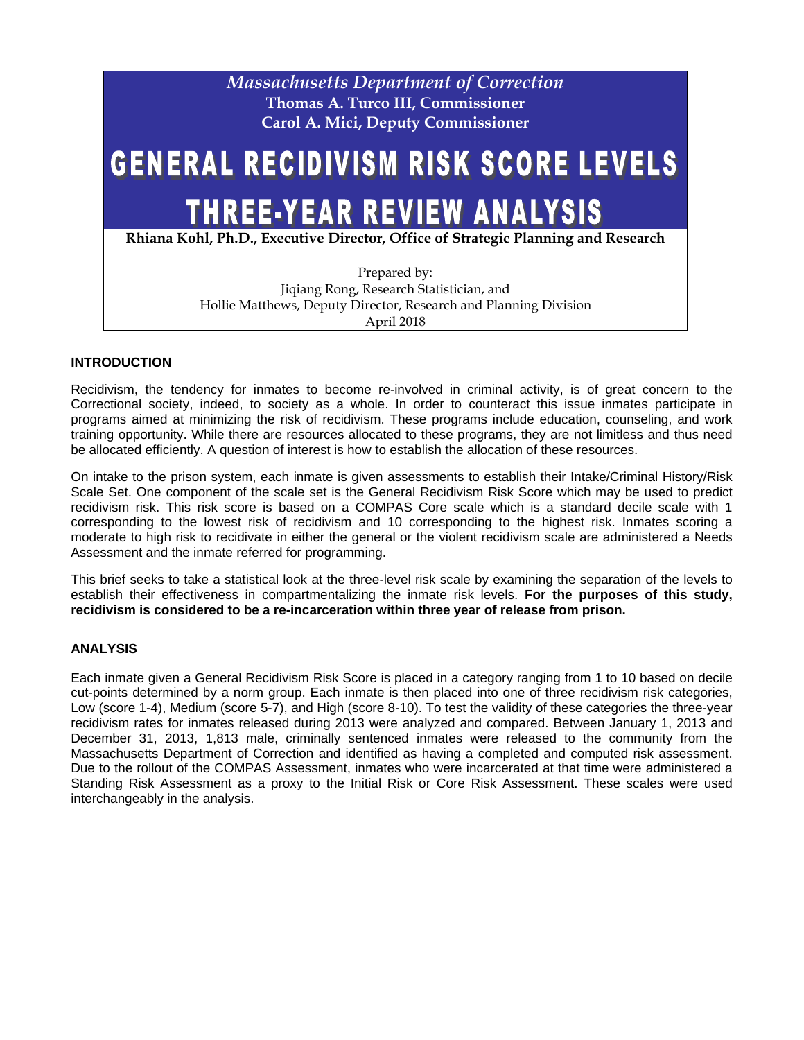

## **INTRODUCTION**

Recidivism, the tendency for inmates to become re-involved in criminal activity, is of great concern to the Correctional society, indeed, to society as a whole. In order to counteract this issue inmates participate in programs aimed at minimizing the risk of recidivism. These programs include education, counseling, and work training opportunity. While there are resources allocated to these programs, they are not limitless and thus need be allocated efficiently. A question of interest is how to establish the allocation of these resources.

On intake to the prison system, each inmate is given assessments to establish their Intake/Criminal History/Risk Scale Set. One component of the scale set is the General Recidivism Risk Score which may be used to predict recidivism risk. This risk score is based on a COMPAS Core scale which is a standard decile scale with 1 corresponding to the lowest risk of recidivism and 10 corresponding to the highest risk. Inmates scoring a moderate to high risk to recidivate in either the general or the violent recidivism scale are administered a Needs Assessment and the inmate referred for programming.

This brief seeks to take a statistical look at the three-level risk scale by examining the separation of the levels to establish their effectiveness in compartmentalizing the inmate risk levels. **For the purposes of this study, recidivism is considered to be a re-incarceration within three year of release from prison.**

## **ANALYSIS**

Each inmate given a General Recidivism Risk Score is placed in a category ranging from 1 to 10 based on decile cut-points determined by a norm group. Each inmate is then placed into one of three recidivism risk categories, Low (score 1-4), Medium (score 5-7), and High (score 8-10). To test the validity of these categories the three-year recidivism rates for inmates released during 2013 were analyzed and compared. Between January 1, 2013 and December 31, 2013, 1,813 male, criminally sentenced inmates were released to the community from the Massachusetts Department of Correction and identified as having a completed and computed risk assessment. Due to the rollout of the COMPAS Assessment, inmates who were incarcerated at that time were administered a Standing Risk Assessment as a proxy to the Initial Risk or Core Risk Assessment. These scales were used interchangeably in the analysis.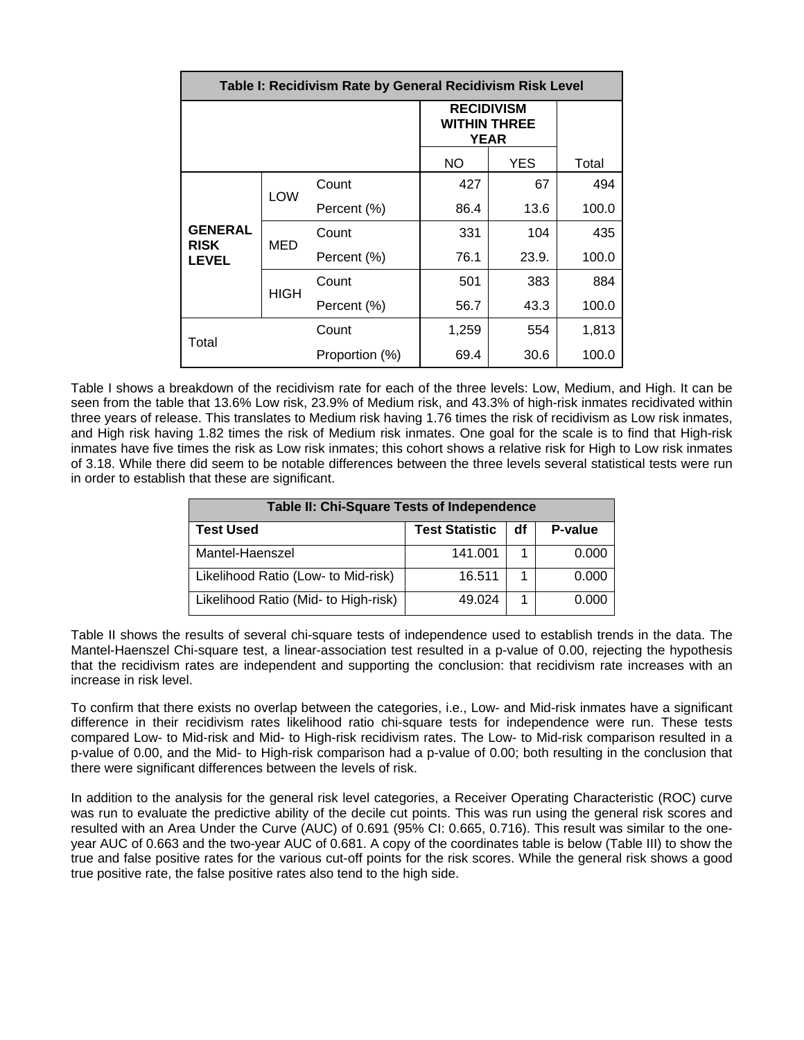| Table I: Recidivism Rate by General Recidivism Risk Level |            |                                                         |           |            |       |  |  |  |
|-----------------------------------------------------------|------------|---------------------------------------------------------|-----------|------------|-------|--|--|--|
|                                                           |            | <b>RECIDIVISM</b><br><b>WITHIN THREE</b><br><b>YEAR</b> |           |            |       |  |  |  |
|                                                           |            |                                                         | <b>NO</b> | <b>YES</b> | Total |  |  |  |
| <b>GENERAL</b><br><b>RISK</b><br><b>LEVEL</b>             | <b>LOW</b> | Count                                                   | 427       | 67         | 494   |  |  |  |
|                                                           |            | Percent (%)                                             | 86.4      | 13.6       | 100.0 |  |  |  |
|                                                           | MED        | Count                                                   | 331       | 104        | 435   |  |  |  |
|                                                           |            | Percent (%)                                             | 76.1      | 23.9.      | 100.0 |  |  |  |
|                                                           | HIGH       | Count                                                   | 501       | 383        | 884   |  |  |  |
|                                                           |            | Percent (%)                                             | 56.7      | 43.3       | 100.0 |  |  |  |
| Total                                                     |            | Count                                                   | 1,259     | 554        | 1,813 |  |  |  |
|                                                           |            | Proportion (%)                                          | 69.4      | 30.6       | 100.0 |  |  |  |

Table I shows a breakdown of the recidivism rate for each of the three levels: Low, Medium, and High. It can be seen from the table that 13.6% Low risk, 23.9% of Medium risk, and 43.3% of high-risk inmates recidivated within three years of release. This translates to Medium risk having 1.76 times the risk of recidivism as Low risk inmates, and High risk having 1.82 times the risk of Medium risk inmates. One goal for the scale is to find that High-risk inmates have five times the risk as Low risk inmates; this cohort shows a relative risk for High to Low risk inmates of 3.18. While there did seem to be notable differences between the three levels several statistical tests were run in order to establish that these are significant.

| Table II: Chi-Square Tests of Independence |                       |    |         |  |  |  |
|--------------------------------------------|-----------------------|----|---------|--|--|--|
| Test Used                                  | <b>Test Statistic</b> | df | P-value |  |  |  |
| Mantel-Haenszel                            | 141.001               |    | 0.000   |  |  |  |
| Likelihood Ratio (Low- to Mid-risk)        | 16.511                |    | 0.000   |  |  |  |
| Likelihood Ratio (Mid- to High-risk)       | 49.024                |    | 0.000   |  |  |  |

Table II shows the results of several chi-square tests of independence used to establish trends in the data. The Mantel-Haenszel Chi-square test, a linear-association test resulted in a p-value of 0.00, rejecting the hypothesis that the recidivism rates are independent and supporting the conclusion: that recidivism rate increases with an increase in risk level.

To confirm that there exists no overlap between the categories, i.e., Low- and Mid-risk inmates have a significant difference in their recidivism rates likelihood ratio chi-square tests for independence were run. These tests compared Low- to Mid-risk and Mid- to High-risk recidivism rates. The Low- to Mid-risk comparison resulted in a p-value of 0.00, and the Mid- to High-risk comparison had a p-value of 0.00; both resulting in the conclusion that there were significant differences between the levels of risk.

In addition to the analysis for the general risk level categories, a Receiver Operating Characteristic (ROC) curve was run to evaluate the predictive ability of the decile cut points. This was run using the general risk scores and resulted with an Area Under the Curve (AUC) of 0.691 (95% CI: 0.665, 0.716). This result was similar to the oneyear AUC of 0.663 and the two-year AUC of 0.681. A copy of the coordinates table is below (Table III) to show the true and false positive rates for the various cut-off points for the risk scores. While the general risk shows a good true positive rate, the false positive rates also tend to the high side.